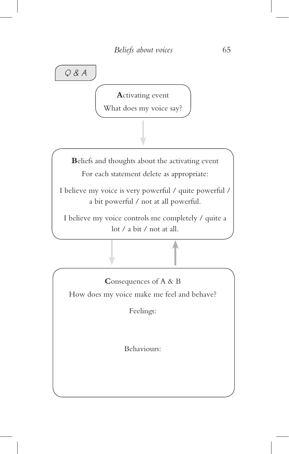*Q & A*

**A**ctivating event

What does my voice say?

**B**eliefs and thoughts about the activating event For each statement delete as appropriate:

I believe my voice is very powerful / quite powerful / a bit powerful / not at all powerful.

I believe my voice controls me completely / quite a lot / a bit / not at all.

**C**onsequences of A & B How does my voice make me feel and behave?

Feelings:

Behaviours: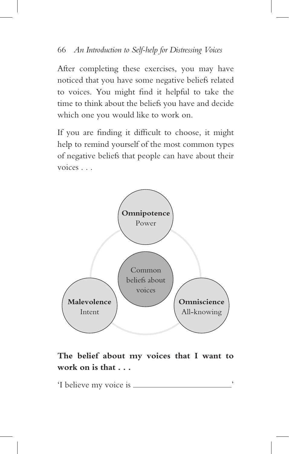After completing these exercises, you may have noticed that you have some negative beliefs related to voices. You might find it helpful to take the time to think about the beliefs you have and decide which one you would like to work on.

If you are finding it difficult to choose, it might help to remind yourself of the most common types of negative beliefs that people can have about their voices . . .



**The belief about my voices that I want to work on is that . . .** 

'I believe my voice is  $\equiv$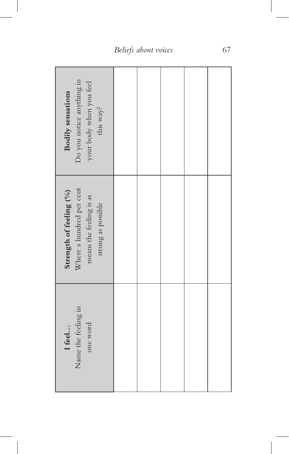| Do you notice anything in<br>your body when you feel<br>Bodily sensations<br>this way?               |  |  |  |
|------------------------------------------------------------------------------------------------------|--|--|--|
| Where a hundred per cent<br>Strength of feeling (%)<br>means the feeling is as<br>strong as possible |  |  |  |
| Name the feeling in<br>one word<br>I feel                                                            |  |  |  |